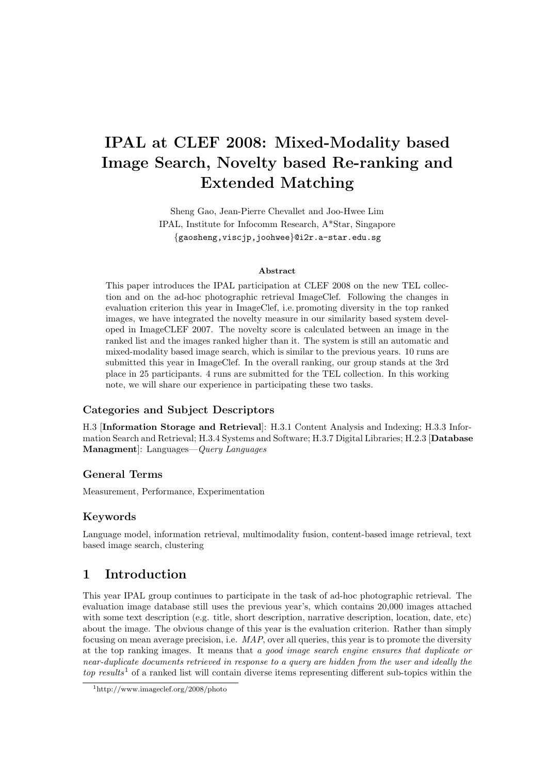# IPAL at CLEF 2008: Mixed-Modality based Image Search, Novelty based Re-ranking and Extended Matching

Sheng Gao, Jean-Pierre Chevallet and Joo-Hwee Lim IPAL, Institute for Infocomm Research, A\*Star, Singapore {gaosheng,viscjp,joohwee}@i2r.a-star.edu.sg

#### Abstract

This paper introduces the IPAL participation at CLEF 2008 on the new TEL collection and on the ad-hoc photographic retrieval ImageClef. Following the changes in evaluation criterion this year in ImageClef, i.e. promoting diversity in the top ranked images, we have integrated the novelty measure in our similarity based system developed in ImageCLEF 2007. The novelty score is calculated between an image in the ranked list and the images ranked higher than it. The system is still an automatic and mixed-modality based image search, which is similar to the previous years. 10 runs are submitted this year in ImageClef. In the overall ranking, our group stands at the 3rd place in 25 participants. 4 runs are submitted for the TEL collection. In this working note, we will share our experience in participating these two tasks.

## Categories and Subject Descriptors

H.3 [Information Storage and Retrieval]: H.3.1 Content Analysis and Indexing; H.3.3 Information Search and Retrieval; H.3.4 Systems and Software; H.3.7 Digital Libraries; H.2.3 [Database Managment]: Languages—Query Languages

## General Terms

Measurement, Performance, Experimentation

## Keywords

Language model, information retrieval, multimodality fusion, content-based image retrieval, text based image search, clustering

# 1 Introduction

This year IPAL group continues to participate in the task of ad-hoc photographic retrieval. The evaluation image database still uses the previous year's, which contains 20,000 images attached with some text description (e.g. title, short description, narrative description, location, date, etc) about the image. The obvious change of this year is the evaluation criterion. Rather than simply focusing on mean average precision, i.e.  $MAP$ , over all queries, this year is to promote the diversity at the top ranking images. It means that a good image search engine ensures that duplicate or near-duplicate documents retrieved in response to a query are hidden from the user and ideally the top results<sup>1</sup> of a ranked list will contain diverse items representing different sub-topics within the

<sup>1</sup>http://www.imageclef.org/2008/photo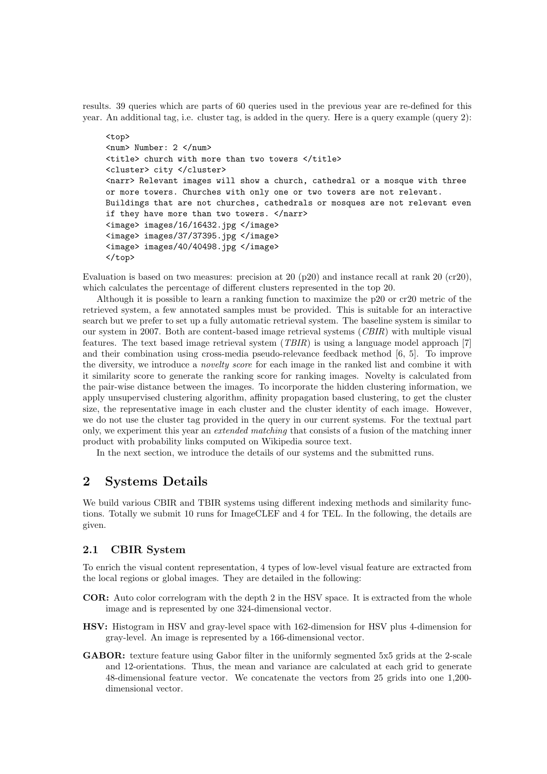results. 39 queries which are parts of 60 queries used in the previous year are re-defined for this year. An additional tag, i.e. cluster tag, is added in the query. Here is a query example (query 2):

```
<top>
<num> Number: 2 </num>
<title> church with more than two towers </title>
<cluster> city </cluster>
<narr> Relevant images will show a church, cathedral or a mosque with three
or more towers. Churches with only one or two towers are not relevant.
Buildings that are not churches, cathedrals or mosques are not relevant even
if they have more than two towers. </narr>
<image> images/16/16432.jpg </image>
<image> images/37/37395.jpg </image>
<image> images/40/40498.jpg </image>
</top>
```
Evaluation is based on two measures: precision at 20 (p20) and instance recall at rank 20 (cr20), which calculates the percentage of different clusters represented in the top 20.

Although it is possible to learn a ranking function to maximize the p20 or cr20 metric of the retrieved system, a few annotated samples must be provided. This is suitable for an interactive search but we prefer to set up a fully automatic retrieval system. The baseline system is similar to our system in 2007. Both are content-based image retrieval systems (CBIR) with multiple visual features. The text based image retrieval system (TBIR) is using a language model approach [7] and their combination using cross-media pseudo-relevance feedback method [6, 5]. To improve the diversity, we introduce a novelty score for each image in the ranked list and combine it with it similarity score to generate the ranking score for ranking images. Novelty is calculated from the pair-wise distance between the images. To incorporate the hidden clustering information, we apply unsupervised clustering algorithm, affinity propagation based clustering, to get the cluster size, the representative image in each cluster and the cluster identity of each image. However, we do not use the cluster tag provided in the query in our current systems. For the textual part only, we experiment this year an *extended matching* that consists of a fusion of the matching inner product with probability links computed on Wikipedia source text.

In the next section, we introduce the details of our systems and the submitted runs.

## 2 Systems Details

We build various CBIR and TBIR systems using different indexing methods and similarity functions. Totally we submit 10 runs for ImageCLEF and 4 for TEL. In the following, the details are given.

### 2.1 CBIR System

To enrich the visual content representation, 4 types of low-level visual feature are extracted from the local regions or global images. They are detailed in the following:

- COR: Auto color correlogram with the depth 2 in the HSV space. It is extracted from the whole image and is represented by one 324-dimensional vector.
- HSV: Histogram in HSV and gray-level space with 162-dimension for HSV plus 4-dimension for gray-level. An image is represented by a 166-dimensional vector.
- GABOR: texture feature using Gabor filter in the uniformly segmented 5x5 grids at the 2-scale and 12-orientations. Thus, the mean and variance are calculated at each grid to generate 48-dimensional feature vector. We concatenate the vectors from 25 grids into one 1,200 dimensional vector.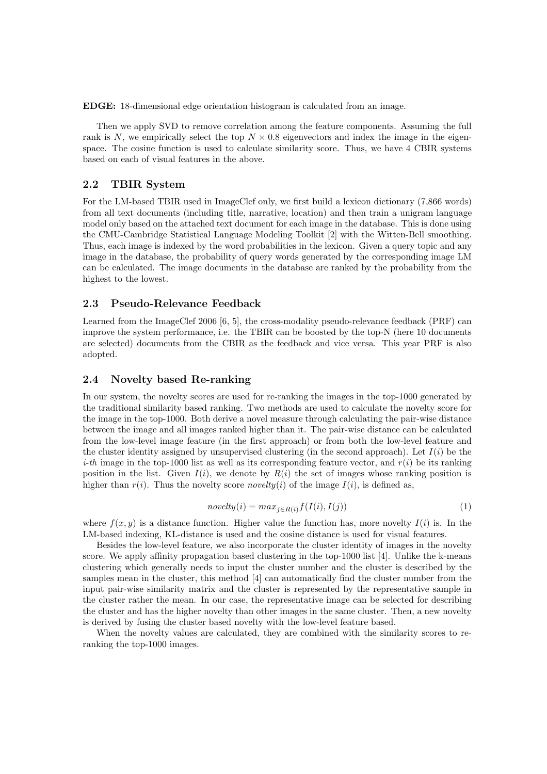EDGE: 18-dimensional edge orientation histogram is calculated from an image.

Then we apply SVD to remove correlation among the feature components. Assuming the full rank is N, we empirically select the top  $N \times 0.8$  eigenvectors and index the image in the eigenspace. The cosine function is used to calculate similarity score. Thus, we have 4 CBIR systems based on each of visual features in the above.

#### 2.2 TBIR System

For the LM-based TBIR used in ImageClef only, we first build a lexicon dictionary (7,866 words) from all text documents (including title, narrative, location) and then train a unigram language model only based on the attached text document for each image in the database. This is done using the CMU-Cambridge Statistical Language Modeling Toolkit [2] with the Witten-Bell smoothing. Thus, each image is indexed by the word probabilities in the lexicon. Given a query topic and any image in the database, the probability of query words generated by the corresponding image LM can be calculated. The image documents in the database are ranked by the probability from the highest to the lowest.

#### 2.3 Pseudo-Relevance Feedback

Learned from the ImageClef 2006 [6, 5], the cross-modality pseudo-relevance feedback (PRF) can improve the system performance, i.e. the TBIR can be boosted by the top-N (here 10 documents are selected) documents from the CBIR as the feedback and vice versa. This year PRF is also adopted.

#### 2.4 Novelty based Re-ranking

In our system, the novelty scores are used for re-ranking the images in the top-1000 generated by the traditional similarity based ranking. Two methods are used to calculate the novelty score for the image in the top-1000. Both derive a novel measure through calculating the pair-wise distance between the image and all images ranked higher than it. The pair-wise distance can be calculated from the low-level image feature (in the first approach) or from both the low-level feature and the cluster identity assigned by unsupervised clustering (in the second approach). Let  $I(i)$  be the *i-th* image in the top-1000 list as well as its corresponding feature vector, and  $r(i)$  be its ranking position in the list. Given  $I(i)$ , we denote by  $R(i)$  the set of images whose ranking position is higher than  $r(i)$ . Thus the novelty score *novelty*(i) of the image  $I(i)$ , is defined as,

$$
novelty(i) = max_{j \in R(i)} f(I(i), I(j))
$$
\n<sup>(1)</sup>

where  $f(x, y)$  is a distance function. Higher value the function has, more novelty  $I(i)$  is. In the LM-based indexing, KL-distance is used and the cosine distance is used for visual features.

Besides the low-level feature, we also incorporate the cluster identity of images in the novelty score. We apply affinity propagation based clustering in the top-1000 list [4]. Unlike the k-means clustering which generally needs to input the cluster number and the cluster is described by the samples mean in the cluster, this method [4] can automatically find the cluster number from the input pair-wise similarity matrix and the cluster is represented by the representative sample in the cluster rather the mean. In our case, the representative image can be selected for describing the cluster and has the higher novelty than other images in the same cluster. Then, a new novelty is derived by fusing the cluster based novelty with the low-level feature based.

When the novelty values are calculated, they are combined with the similarity scores to reranking the top-1000 images.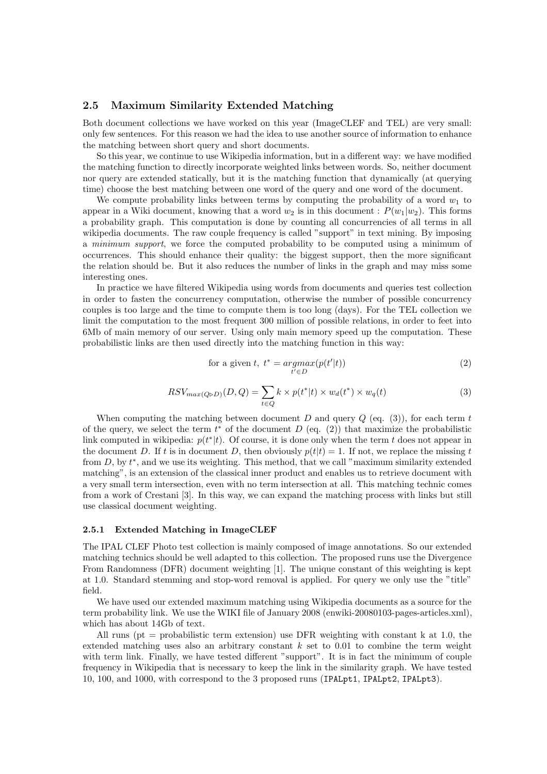#### 2.5 Maximum Similarity Extended Matching

Both document collections we have worked on this year (ImageCLEF and TEL) are very small: only few sentences. For this reason we had the idea to use another source of information to enhance the matching between short query and short documents.

So this year, we continue to use Wikipedia information, but in a different way: we have modified the matching function to directly incorporate weighted links between words. So, neither document nor query are extended statically, but it is the matching function that dynamically (at querying time) choose the best matching between one word of the query and one word of the document.

We compute probability links between terms by computing the probability of a word  $w_1$  to appear in a Wiki document, knowing that a word  $w_2$  is in this document :  $P(w_1|w_2)$ . This forms a probability graph. This computation is done by counting all concurrencies of all terms in all wikipedia documents. The raw couple frequency is called "support" in text mining. By imposing a minimum support, we force the computed probability to be computed using a minimum of occurrences. This should enhance their quality: the biggest support, then the more significant the relation should be. But it also reduces the number of links in the graph and may miss some interesting ones.

In practice we have filtered Wikipedia using words from documents and queries test collection in order to fasten the concurrency computation, otherwise the number of possible concurrency couples is too large and the time to compute them is too long (days). For the TEL collection we limit the computation to the most frequent 300 million of possible relations, in order to feet into 6Mb of main memory of our server. Using only main memory speed up the computation. These probabilistic links are then used directly into the matching function in this way:

for a given t, 
$$
t^* = \underset{t' \in D}{argmax}(p(t'|t))
$$
 (2)

$$
RSV_{max(Q \triangleright D)}(D, Q) = \sum_{t \in Q} k \times p(t^*|t) \times w_d(t^*) \times w_q(t)
$$
\n(3)

When computing the matching between document D and query  $Q$  (eq. (3)), for each term t of the query, we select the term  $t^*$  of the document  $D$  (eq. (2)) that maximize the probabilistic link computed in wikipedia:  $p(t^*|t)$ . Of course, it is done only when the term t does not appear in the document D. If t is in document D, then obviously  $p(t|t) = 1$ . If not, we replace the missing t from  $D$ , by  $t^*$ , and we use its weighting. This method, that we call "maximum similarity extended matching", is an extension of the classical inner product and enables us to retrieve document with a very small term intersection, even with no term intersection at all. This matching technic comes from a work of Crestani [3]. In this way, we can expand the matching process with links but still use classical document weighting.

#### 2.5.1 Extended Matching in ImageCLEF

The IPAL CLEF Photo test collection is mainly composed of image annotations. So our extended matching technics should be well adapted to this collection. The proposed runs use the Divergence From Randomness (DFR) document weighting [1]. The unique constant of this weighting is kept at 1.0. Standard stemming and stop-word removal is applied. For query we only use the "title" field.

We have used our extended maximum matching using Wikipedia documents as a source for the term probability link. We use the WIKI file of January 2008 (enwiki-20080103-pages-articles.xml), which has about 14Gb of text.

All runs ( $pt = probabilistic term extension$ ) use DFR weighting with constant k at 1.0, the extended matching uses also an arbitrary constant  $k$  set to 0.01 to combine the term weight with term link. Finally, we have tested different "support". It is in fact the minimum of couple frequency in Wikipedia that is necessary to keep the link in the similarity graph. We have tested 10, 100, and 1000, with correspond to the 3 proposed runs (IPALpt1, IPALpt2, IPALpt3).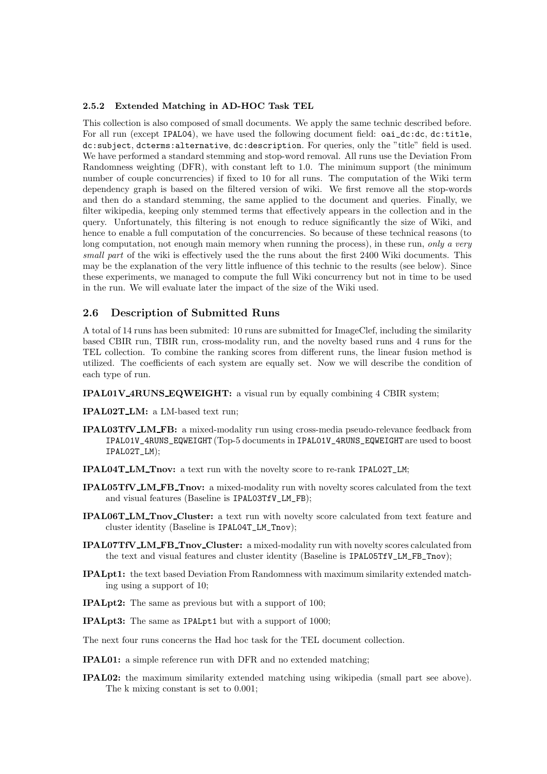#### 2.5.2 Extended Matching in AD-HOC Task TEL

This collection is also composed of small documents. We apply the same technic described before. For all run (except IPAL04), we have used the following document field:  $oai\_dc:dc$ , dc:title, dc:subject, dcterms:alternative, dc:description. For queries, only the "title" field is used. We have performed a standard stemming and stop-word removal. All runs use the Deviation From Randomness weighting (DFR), with constant left to 1.0. The minimum support (the minimum number of couple concurrencies) if fixed to 10 for all runs. The computation of the Wiki term dependency graph is based on the filtered version of wiki. We first remove all the stop-words and then do a standard stemming, the same applied to the document and queries. Finally, we filter wikipedia, keeping only stemmed terms that effectively appears in the collection and in the query. Unfortunately, this filtering is not enough to reduce significantly the size of Wiki, and hence to enable a full computation of the concurrencies. So because of these technical reasons (to long computation, not enough main memory when running the process), in these run, only a very small part of the wiki is effectively used the the runs about the first 2400 Wiki documents. This may be the explanation of the very little influence of this technic to the results (see below). Since these experiments, we managed to compute the full Wiki concurrency but not in time to be used in the run. We will evaluate later the impact of the size of the Wiki used.

#### 2.6 Description of Submitted Runs

A total of 14 runs has been submited: 10 runs are submitted for ImageClef, including the similarity based CBIR run, TBIR run, cross-modality run, and the novelty based runs and 4 runs for the TEL collection. To combine the ranking scores from different runs, the linear fusion method is utilized. The coefficients of each system are equally set. Now we will describe the condition of each type of run.

IPAL01V 4RUNS EQWEIGHT: a visual run by equally combining 4 CBIR system;

IPAL02T LM: a LM-based text run;

- IPAL03TfV LM FB: a mixed-modality run using cross-media pseudo-relevance feedback from IPAL01V\_4RUNS\_EQWEIGHT (Top-5 documents in IPAL01V\_4RUNS\_EQWEIGHT are used to boost IPAL02T\_LM);
- IPAL04T LM Tnov: a text run with the novelty score to re-rank IPAL02T\_LM;
- IPAL05TfV LM FB Tnov: a mixed-modality run with novelty scores calculated from the text and visual features (Baseline is IPAL03TfV\_LM\_FB);
- IPAL06T LM Tnov Cluster: a text run with novelty score calculated from text feature and cluster identity (Baseline is IPAL04T\_LM\_Tnov);
- IPAL07TfV LM FB Tnov Cluster: a mixed-modality run with novelty scores calculated from the text and visual features and cluster identity (Baseline is IPAL05TfV\_LM\_FB\_Tnov);
- IPALpt1: the text based Deviation From Randomness with maximum similarity extended matching using a support of 10;
- IPALpt2: The same as previous but with a support of 100;
- IPALpt3: The same as IPALpt1 but with a support of 1000;
- The next four runs concerns the Had hoc task for the TEL document collection.
- IPAL01: a simple reference run with DFR and no extended matching;
- IPAL02: the maximum similarity extended matching using wikipedia (small part see above). The k mixing constant is set to 0.001;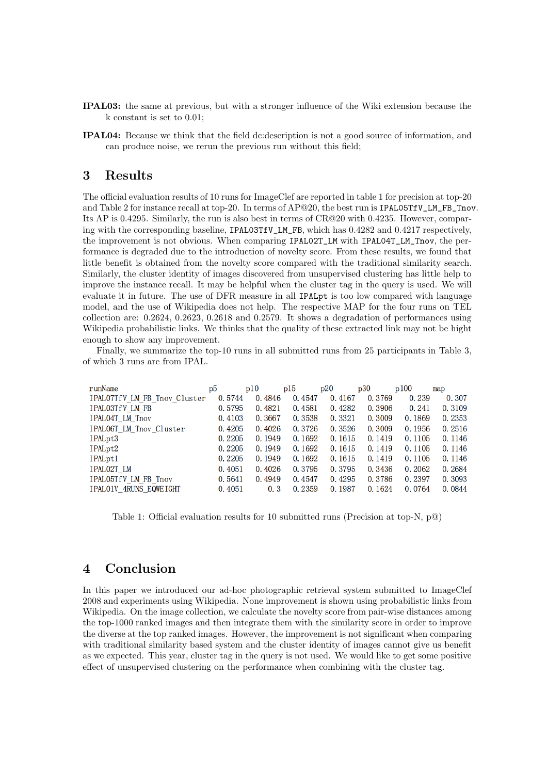- IPAL03: the same at previous, but with a stronger influence of the Wiki extension because the k constant is set to 0.01;
- IPAL04: Because we think that the field dc:description is not a good source of information, and can produce noise, we rerun the previous run without this field;

## 3 Results

The official evaluation results of 10 runs for ImageClef are reported in table 1 for precision at top-20 and Table 2 for instance recall at top-20. In terms of AP@20, the best run is IPAL05TfV\_LM\_FB\_Tnov. Its AP is 0.4295. Similarly, the run is also best in terms of CR@20 with 0.4235. However, comparing with the corresponding baseline, IPAL03TfV\_LM\_FB, which has 0.4282 and 0.4217 respectively, the improvement is not obvious. When comparing IPAL02T\_LM with IPAL04T\_LM\_Tnov, the performance is degraded due to the introduction of novelty score. From these results, we found that little benefit is obtained from the novelty score compared with the traditional similarity search. Similarly, the cluster identity of images discovered from unsupervised clustering has little help to improve the instance recall. It may be helpful when the cluster tag in the query is used. We will evaluate it in future. The use of DFR measure in all IPALpt is too low compared with language model, and the use of Wikipedia does not help. The respective MAP for the four runs on TEL collection are: 0.2624, 0.2623, 0.2618 and 0.2579. It shows a degradation of performances using Wikipedia probabilistic links. We thinks that the quality of these extracted link may not be hight enough to show any improvement.

Finally, we summarize the top-10 runs in all submitted runs from 25 participants in Table 3, of which 3 runs are from IPAL.

| runName                      | p5     | p10    | p15    | p20    | p30    | p100   | map    |
|------------------------------|--------|--------|--------|--------|--------|--------|--------|
| IPALO7TfV LM FB Tnov Cluster | 0.5744 | 0.4846 | 0.4547 | 0.4167 | 0.3769 | 0.239  | 0.307  |
| IPALO3TfV LM FB              | 0.5795 | 0.4821 | 0.4581 | 0.4282 | 0.3906 | 0.241  | 0.3109 |
| IPAL04T LM Tnov              | 0.4103 | 0.3667 | 0.3538 | 0.3321 | 0.3009 | 0.1869 | 0.2353 |
| IPALO6T LM Tnov Cluster      | 0.4205 | 0.4026 | 0.3726 | 0.3526 | 0.3009 | 0.1956 | 0.2516 |
| IPALpt3                      | 0.2205 | 0.1949 | 0.1692 | 0.1615 | 0.1419 | 0.1105 | 0.1146 |
| IPALpt2                      | 0.2205 | 0.1949 | 0.1692 | 0.1615 | 0.1419 | 0.1105 | 0.1146 |
| IPALpt1                      | 0.2205 | 0.1949 | 0.1692 | 0.1615 | 0.1419 | 0.1105 | 0.1146 |
| IPALO2T_LM                   | 0.4051 | 0.4026 | 0.3795 | 0.3795 | 0.3436 | 0.2062 | 0.2684 |
| IPAL05TfV LM FB Tnov         | 0.5641 | 0.4949 | 0.4547 | 0.4295 | 0.3786 | 0.2397 | 0.3093 |
| IPALO1V 4RUNS EQWEIGHT       | 0.4051 | 0.3    | 0.2359 | 0.1987 | 0.1624 | 0.0764 | 0.0844 |

Table 1: Official evaluation results for 10 submitted runs (Precision at top-N, p@)

# 4 Conclusion

In this paper we introduced our ad-hoc photographic retrieval system submitted to ImageClef 2008 and experiments using Wikipedia. None improvement is shown using probabilistic links from Wikipedia. On the image collection, we calculate the novelty score from pair-wise distances among the top-1000 ranked images and then integrate them with the similarity score in order to improve the diverse at the top ranked images. However, the improvement is not significant when comparing with traditional similarity based system and the cluster identity of images cannot give us benefit as we expected. This year, cluster tag in the query is not used. We would like to get some positive effect of unsupervised clustering on the performance when combining with the cluster tag.